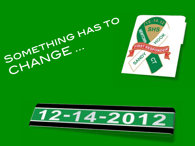

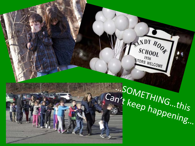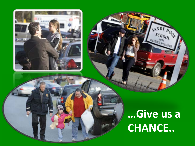

# ...Give us a CHANCE..

SANDY HOOT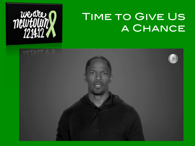## TIME TO GIVE US A CHANCE



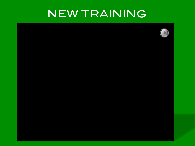## NEW TRAINING

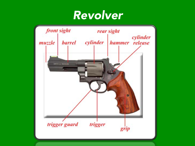# *Revolver*

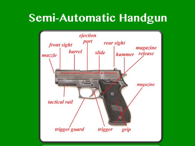# **Semi-Automatic Handgun**

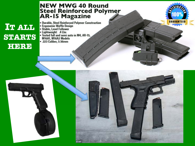### **NEW MWG 40 Round Steel Reinforced Polymer<br>AR-15 Magazine**



• Durable, Steel Reinforced Polymer Construction<br>• Ergonomic Waffle Design

- 
- 
- 
- Stable, Level Follower<br>• Lightweight: .4 Lbs<br>• Tested full and semi auto in M4, AR-15,<br>M16A1, M16A2 Models
- 
- .223 Caliber, 5.56mm



## IT ALL **STARTS** HERE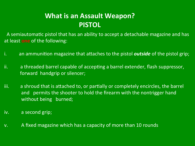### **What is an Assault Weapon? PISTOL**

A semiautomatic pistol that has an ability to accept a detachable magazine and has at least **one** of the following:

- i. an ammunition magazine that attaches to the pistol **outside** of the pistol grip;
- ii. a threaded barrel capable of accepting a barrel extender, flash suppressor, forward handgrip or silencer;
- iii. a shroud that is attached to, or partially or completely encircles, the barrel and permits the shooter to hold the firearm with the nontrigger hand without being burned;
- iv. a second grip;
- v. A fixed magazine which has a capacity of more than 10 rounds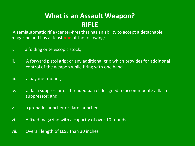### **What is an Assault Weapon? RIFLE**

A semiautomatic rifle (center-fire) that has an ability to accept a detachable magazine and has at least one of the following:

- i. a folding or telescopic stock;
- ii. A forward pistol grip; or any additional grip which provides for additional control of the weapon while firing with one hand
- iii. a bayonet mount;
- iv. a flash suppressor or threaded barrel designed to accommodate a flash suppressor; and
- v. a grenade launcher or flare launcher
- vi. A fixed magazine with a capacity of over 10 rounds
- vii. Overall length of LESS than 30 inches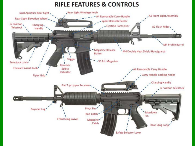#### **RIFLE FEATURES & CONTROLS**

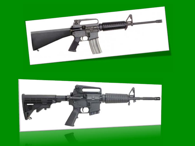

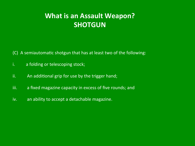### **What is an Assault Weapon? SHOTGUN**

(C) A semiautomatic shotgun that has at least two of the following:

- i. a folding or telescoping stock;
- ii. An additional grip for use by the trigger hand;
- iii. a fixed magazine capacity in excess of five rounds; and
- iv. an ability to accept a detachable magazine.